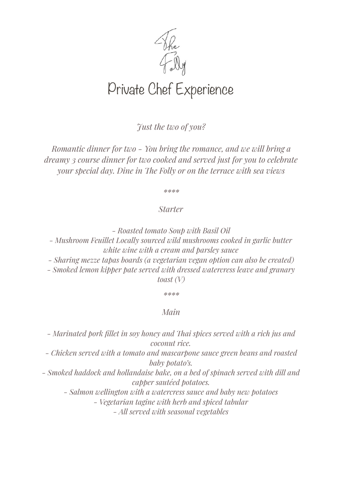

*Just the two of you?* 

*Romantic dinner for two - You bring the romance, and we will bring a dreamy 3 course dinner for two cooked and served just for you to celebrate your special day. Dine in Te Folly or on the terrace with sea views* 

*\*\*\*\** 

## *Starter*

*- Roasted tomato Soup with Basil Oil* 

*- Mushroom Feuillet Locally sourced wild mushrooms cooked in garlic butter white wine with a cream and parsley sauce* 

*- Sharing mezze tapas boards (a vegetarian vegan option can also be created) - Smoked lemon kipper pate served with dressed watercress leave and granary* 

*toast (V)* 

*\*\*\*\** 

## *Main*

*- Marinated pork fillet in soy honey and Tai spices served with a rich jus and coconut rice.* 

*- Chicken served with a tomato and mascarpone sauce green beans and roasted baby potato's.* 

*- Smoked haddock and hollandaise bake, on a bed of spinach served with dill and capper sautéed potatoes.* 

*- Salmon wellington with a watercress sauce and baby new potatoes - Vegetarian tagine with herb and spiced tabular* 

*- All served with seasonal vegetables*